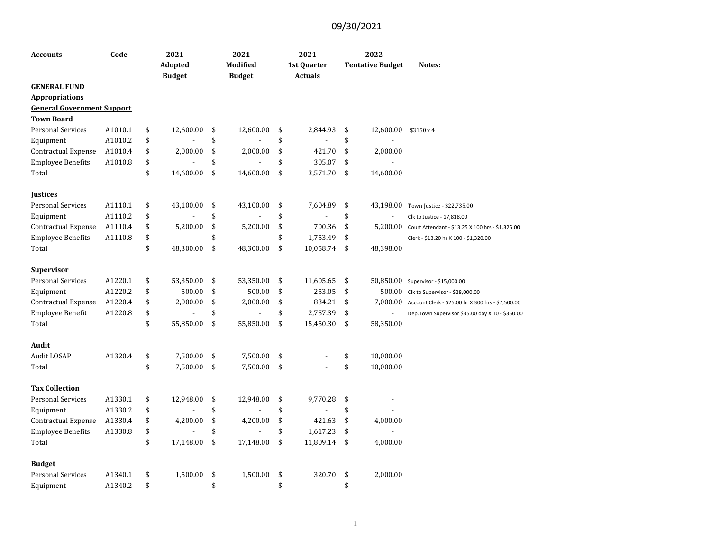| <b>Accounts</b>                   | Code    | 2021                 | 2021                 | 2021                 | 2022                    |                                                   |
|-----------------------------------|---------|----------------------|----------------------|----------------------|-------------------------|---------------------------------------------------|
|                                   |         | Adopted              | <b>Modified</b>      | 1st Quarter          | <b>Tentative Budget</b> | Notes:                                            |
|                                   |         | <b>Budget</b>        | <b>Budget</b>        | <b>Actuals</b>       |                         |                                                   |
| <b>GENERAL FUND</b>               |         |                      |                      |                      |                         |                                                   |
| <b>Appropriations</b>             |         |                      |                      |                      |                         |                                                   |
| <b>General Government Support</b> |         |                      |                      |                      |                         |                                                   |
| <b>Town Board</b>                 |         |                      |                      |                      |                         |                                                   |
| <b>Personal Services</b>          | A1010.1 | \$<br>12,600.00      | \$<br>12,600.00      | \$<br>2,844.93       | \$<br>12,600.00         | \$3150x4                                          |
| Equipment                         | A1010.2 | \$                   | \$                   | \$                   | \$                      |                                                   |
| Contractual Expense               | A1010.4 | \$<br>2,000.00       | \$<br>2,000.00       | \$<br>421.70         | \$<br>2,000.00          |                                                   |
| <b>Employee Benefits</b>          | A1010.8 | \$                   | \$                   | \$<br>305.07         | \$                      |                                                   |
| Total                             |         | \$<br>14,600.00      | \$<br>14,600.00      | \$<br>3,571.70       | \$<br>14,600.00         |                                                   |
| <b>Justices</b>                   |         |                      |                      |                      |                         |                                                   |
| <b>Personal Services</b>          | A1110.1 | \$<br>43,100.00      | \$<br>43,100.00      | \$<br>7,604.89       | \$<br>43,198.00         | Town Justice - \$22,735.00                        |
| Equipment                         | A1110.2 | \$                   | \$                   | \$                   | \$                      | Clk to Justice - 17,818.00                        |
| Contractual Expense               | A1110.4 | \$<br>5,200.00       | \$<br>5,200.00       | \$<br>700.36         | \$<br>5,200.00          | Court Attendant - \$13.25 X 100 hrs - \$1,325.00  |
| <b>Employee Benefits</b>          | A1110.8 | \$                   | \$                   | \$<br>1,753.49       | \$<br>$\overline{a}$    | Clerk - \$13.20 hr X 100 - \$1,320.00             |
| Total                             |         | \$<br>48,300.00      | \$<br>48,300.00      | \$<br>10,058.74      | \$<br>48,398.00         |                                                   |
| <b>Supervisor</b>                 |         |                      |                      |                      |                         |                                                   |
| <b>Personal Services</b>          | A1220.1 | \$<br>53,350.00      | \$<br>53,350.00      | \$<br>11,605.65      | \$                      | 50,850.00 Supervisor - \$15,000.00                |
| Equipment                         | A1220.2 | \$<br>500.00         | \$<br>500.00         | \$<br>253.05         | \$                      | 500.00 Clk to Supervisor - \$28,000.00            |
| Contractual Expense               | A1220.4 | \$<br>2,000.00       | \$<br>2,000.00       | \$<br>834.21         | \$<br>7,000.00          | Account Clerk - \$25.00 hr X 300 hrs - \$7,500.00 |
| Employee Benefit                  | A1220.8 | \$<br>$\overline{a}$ | \$<br>$\overline{a}$ | \$<br>2,757.39       | \$<br>$\blacksquare$    | Dep.Town Supervisor \$35.00 day X 10 - \$350.00   |
| Total                             |         | \$<br>55,850.00      | \$<br>55,850.00      | \$<br>15,450.30      | \$<br>58,350.00         |                                                   |
| Audit                             |         |                      |                      |                      |                         |                                                   |
| Audit LOSAP                       | A1320.4 | \$<br>7,500.00       | \$<br>7,500.00       | \$                   | \$<br>10,000.00         |                                                   |
| Total                             |         | \$<br>7,500.00       | \$<br>7,500.00       | \$                   | \$<br>10,000.00         |                                                   |
| <b>Tax Collection</b>             |         |                      |                      |                      |                         |                                                   |
| <b>Personal Services</b>          | A1330.1 | \$<br>12,948.00      | \$<br>12,948.00      | \$<br>9,770.28       | \$<br>$\blacksquare$    |                                                   |
| Equipment                         | A1330.2 | \$                   | \$                   | \$                   | \$                      |                                                   |
| Contractual Expense               | A1330.4 | \$<br>4,200.00       | \$<br>4,200.00       | \$<br>421.63         | \$<br>4,000.00          |                                                   |
| <b>Employee Benefits</b>          | A1330.8 | \$                   | \$                   | \$<br>1,617.23       | \$                      |                                                   |
| Total                             |         | \$<br>17,148.00      | \$<br>17,148.00      | \$<br>11,809.14      | \$<br>4,000.00          |                                                   |
| <b>Budget</b>                     |         |                      |                      |                      |                         |                                                   |
| <b>Personal Services</b>          | A1340.1 | \$<br>1,500.00       | \$<br>1,500.00       | \$<br>320.70         | \$<br>2,000.00          |                                                   |
| Equipment                         | A1340.2 | \$<br>÷,             | \$<br>$\overline{a}$ | \$<br>$\overline{a}$ | \$<br>$\sim$            |                                                   |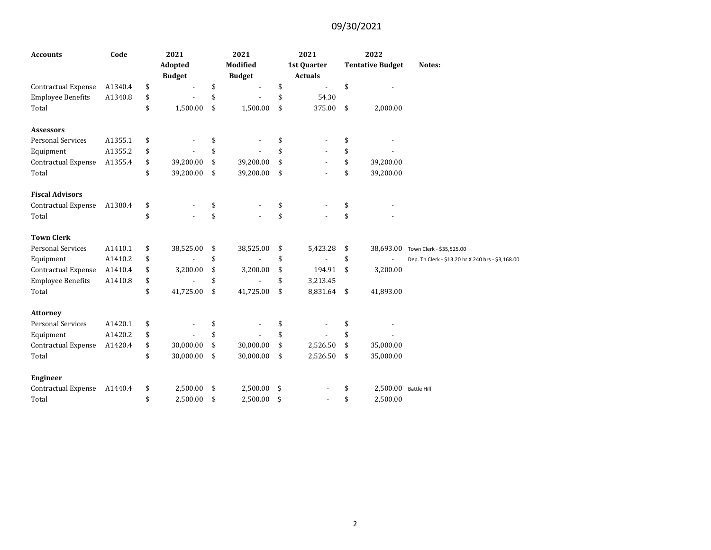| <b>Accounts</b>                                 | Code    |          | 2021<br>Adopted |          | 2021<br><b>Modified</b> | 2021<br>1st Quarter                              | 2022<br><b>Tentative Budget</b> | Notes:                                            |
|-------------------------------------------------|---------|----------|-----------------|----------|-------------------------|--------------------------------------------------|---------------------------------|---------------------------------------------------|
|                                                 | A1340.4 |          | <b>Budget</b>   |          | <b>Budget</b>           | \$<br><b>Actuals</b><br>$\overline{\phantom{a}}$ | \$                              |                                                   |
| Contractual Expense<br><b>Employee Benefits</b> | A1340.8 | \$       |                 | \$<br>\$ |                         | \$<br>54.30                                      |                                 |                                                   |
| Total                                           |         | \$<br>\$ | 1,500.00        | \$       | 1,500.00                | \$<br>375.00                                     | \$<br>2,000.00                  |                                                   |
|                                                 |         |          |                 |          |                         |                                                  |                                 |                                                   |
| <b>Assessors</b>                                |         |          |                 |          |                         |                                                  |                                 |                                                   |
| <b>Personal Services</b>                        | A1355.1 | \$       |                 | \$       |                         | \$                                               | \$                              |                                                   |
| Equipment                                       | A1355.2 | \$       |                 | \$       |                         | \$                                               | \$                              |                                                   |
| <b>Contractual Expense</b>                      | A1355.4 | \$       | 39,200.00       | \$       | 39,200.00               | \$                                               | \$<br>39,200.00                 |                                                   |
| Total                                           |         | \$       | 39,200.00       | \$       | 39,200.00               | \$                                               | \$<br>39,200.00                 |                                                   |
| <b>Fiscal Advisors</b>                          |         |          |                 |          |                         |                                                  |                                 |                                                   |
| Contractual Expense                             | A1380.4 | \$       |                 | \$       |                         | \$                                               | \$                              |                                                   |
| Total                                           |         | \$       |                 | \$       |                         | \$                                               | \$                              |                                                   |
| <b>Town Clerk</b>                               |         |          |                 |          |                         |                                                  |                                 |                                                   |
| <b>Personal Services</b>                        | A1410.1 | \$       | 38,525.00       | \$       | 38,525.00               | \$<br>5,423.28                                   | \$                              | 38,693.00 Town Clerk - \$35,525.00                |
| Equipment                                       | A1410.2 | \$       |                 | \$       |                         | \$                                               | \$                              | Dep. Tn Clerk - \$13.20 hr X 240 hrs - \$3,168.00 |
| Contractual Expense                             | A1410.4 | \$       | 3,200.00        | \$       | 3,200.00                | \$<br>194.91                                     | \$<br>3,200.00                  |                                                   |
| <b>Employee Benefits</b>                        | A1410.8 | \$       |                 | \$       |                         | \$<br>3,213.45                                   |                                 |                                                   |
| Total                                           |         | \$       | 41,725.00       | \$       | 41,725.00               | \$<br>8,831.64                                   | \$<br>41,893.00                 |                                                   |
| <b>Attorney</b>                                 |         |          |                 |          |                         |                                                  |                                 |                                                   |
| <b>Personal Services</b>                        | A1420.1 | \$       |                 | \$       |                         | \$                                               | \$                              |                                                   |
| Equipment                                       | A1420.2 | \$       |                 | \$       |                         | \$                                               | \$                              |                                                   |
| <b>Contractual Expense</b>                      | A1420.4 | \$       | 30,000.00       | \$       | 30,000.00               | \$<br>2,526.50                                   | \$<br>35,000.00                 |                                                   |
| Total                                           |         | \$       | 30,000.00       | \$       | 30,000.00               | \$<br>2,526.50                                   | \$<br>35,000.00                 |                                                   |
| <b>Engineer</b>                                 |         |          |                 |          |                         |                                                  |                                 |                                                   |
| <b>Contractual Expense</b>                      | A1440.4 | \$       | 2,500.00        | \$       | 2,500.00                | \$                                               | \$<br>2,500.00 Battle Hill      |                                                   |
| Total                                           |         | \$       | 2,500.00        | \$       | 2,500.00                | \$                                               | \$<br>2,500.00                  |                                                   |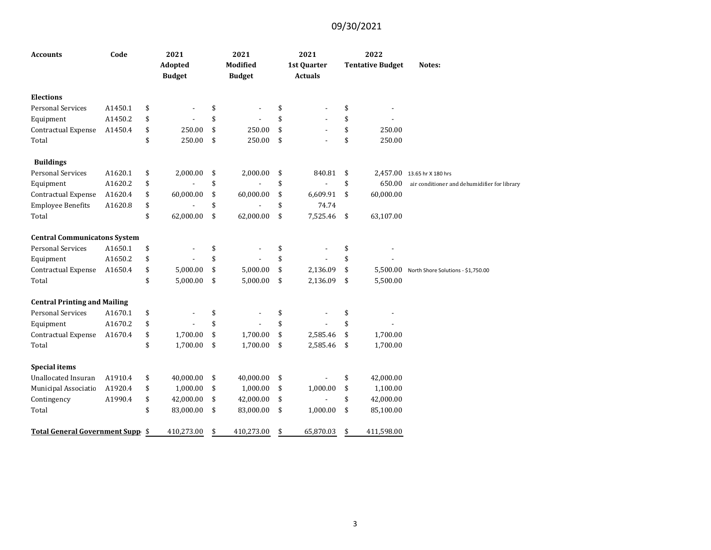| <b>Accounts</b>                     | Code    | 2021<br>Adopted<br><b>Budget</b> | 2021<br><b>Modified</b><br><b>Budget</b> | 2021<br>1st Quarter<br><b>Actuals</b> | 2022<br><b>Tentative Budget</b> | Notes:                                       |
|-------------------------------------|---------|----------------------------------|------------------------------------------|---------------------------------------|---------------------------------|----------------------------------------------|
| <b>Elections</b>                    |         |                                  |                                          |                                       |                                 |                                              |
| <b>Personal Services</b>            | A1450.1 | \$                               | \$                                       | \$                                    | \$                              |                                              |
| Equipment                           | A1450.2 | \$                               | \$                                       | \$                                    | \$                              |                                              |
| Contractual Expense                 | A1450.4 | \$<br>250.00                     | \$<br>250.00                             | \$                                    | \$<br>250.00                    |                                              |
| Total                               |         | \$<br>250.00                     | \$<br>250.00                             | \$                                    | \$<br>250.00                    |                                              |
| <b>Buildings</b>                    |         |                                  |                                          |                                       |                                 |                                              |
| <b>Personal Services</b>            | A1620.1 | \$<br>2,000.00                   | \$<br>2,000.00                           | \$<br>840.81                          | \$                              | 2,457.00 13.65 hr X 180 hrs                  |
| Equipment                           | A1620.2 | \$                               | \$                                       | \$                                    | \$<br>650.00                    | air conditioner and dehumidifier for library |
| Contractual Expense                 | A1620.4 | \$<br>60,000.00                  | \$<br>60,000.00                          | \$<br>6,609.91                        | \$<br>60,000.00                 |                                              |
| <b>Employee Benefits</b>            | A1620.8 | \$                               | \$                                       | \$<br>74.74                           |                                 |                                              |
| Total                               |         | \$<br>62,000.00                  | \$<br>62,000.00                          | \$<br>7,525.46                        | \$<br>63,107.00                 |                                              |
| <b>Central Communicatons System</b> |         |                                  |                                          |                                       |                                 |                                              |
| <b>Personal Services</b>            | A1650.1 | \$                               | \$                                       | \$                                    | \$                              |                                              |
| Equipment                           | A1650.2 | \$                               | \$                                       | \$                                    | \$                              |                                              |
| Contractual Expense                 | A1650.4 | \$<br>5,000.00                   | \$<br>5,000.00                           | \$<br>2,136.09                        | \$<br>5,500.00                  | North Shore Solutions - \$1,750.00           |
| Total                               |         | \$<br>5,000.00                   | \$<br>5,000.00                           | \$<br>2,136.09                        | \$<br>5,500.00                  |                                              |
| <b>Central Printing and Mailing</b> |         |                                  |                                          |                                       |                                 |                                              |
| <b>Personal Services</b>            | A1670.1 | \$                               | \$                                       | \$                                    | \$                              |                                              |
| Equipment                           | A1670.2 | \$                               | \$                                       | \$                                    | \$                              |                                              |
| Contractual Expense                 | A1670.4 | \$<br>1,700.00                   | \$<br>1,700.00                           | \$<br>2,585.46                        | \$<br>1,700.00                  |                                              |
| Total                               |         | \$<br>1,700.00                   | \$<br>1,700.00                           | \$<br>2,585.46                        | \$<br>1,700.00                  |                                              |
| <b>Special items</b>                |         |                                  |                                          |                                       |                                 |                                              |
| Unallocated Insuran                 | A1910.4 | \$<br>40,000.00                  | \$<br>40,000.00                          | \$                                    | \$<br>42,000.00                 |                                              |
| Municipal Associatio                | A1920.4 | \$<br>1,000.00                   | \$<br>1,000.00                           | \$<br>1,000.00                        | \$<br>1,100.00                  |                                              |
| Contingency                         | A1990.4 | \$<br>42,000.00                  | \$<br>42,000.00                          | \$                                    | \$<br>42,000.00                 |                                              |
| Total                               |         | \$<br>83,000.00                  | \$<br>83,000.00                          | \$<br>1,000.00                        | \$<br>85,100.00                 |                                              |
| Total General Government Supp \$    |         | 410,273.00                       | \$<br>410,273.00                         | \$<br>65,870.03                       | \$<br>411,598.00                |                                              |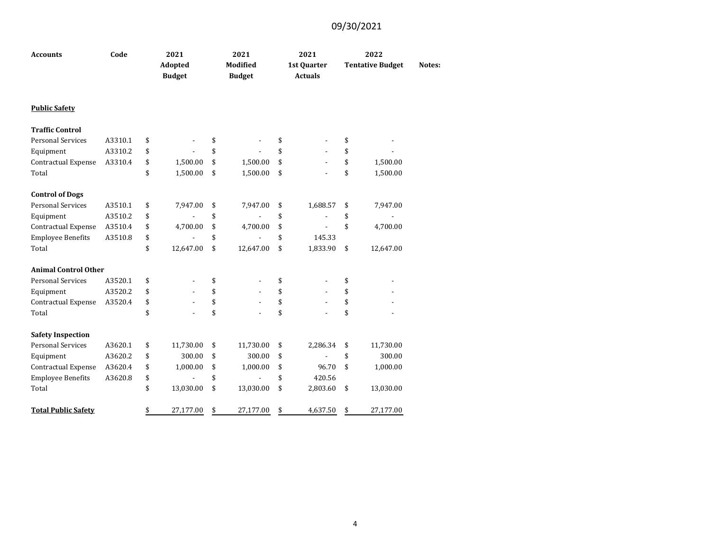| <b>Accounts</b>             | Code    | 2021                     | 2021                             | 2021                           | 2022                    |        |
|-----------------------------|---------|--------------------------|----------------------------------|--------------------------------|-------------------------|--------|
|                             |         | Adopted<br><b>Budget</b> | <b>Modified</b><br><b>Budget</b> | 1st Quarter<br><b>Actuals</b>  | <b>Tentative Budget</b> | Notes: |
| <b>Public Safety</b>        |         |                          |                                  |                                |                         |        |
| <b>Traffic Control</b>      |         |                          |                                  |                                |                         |        |
| <b>Personal Services</b>    | A3310.1 | \$                       | \$                               | \$                             | \$                      |        |
| Equipment                   | A3310.2 | \$                       | \$                               | \$                             | \$                      |        |
| Contractual Expense         | A3310.4 | \$<br>1,500.00           | \$<br>1,500.00                   | \$                             | \$<br>1,500.00          |        |
| Total                       |         | \$<br>1,500.00           | \$<br>1,500.00                   | \$                             | \$<br>1,500.00          |        |
| <b>Control of Dogs</b>      |         |                          |                                  |                                |                         |        |
| <b>Personal Services</b>    | A3510.1 | \$<br>7,947.00           | \$<br>7,947.00                   | \$<br>1,688.57                 | \$<br>7,947.00          |        |
| Equipment                   | A3510.2 | \$                       | \$                               | \$<br>Ĭ.                       | \$                      |        |
| Contractual Expense         | A3510.4 | \$<br>4,700.00           | \$<br>4,700.00                   | \$                             | \$<br>4,700.00          |        |
| <b>Employee Benefits</b>    | A3510.8 | \$                       | \$                               | \$<br>145.33                   |                         |        |
| Total                       |         | \$<br>12,647.00          | \$<br>12,647.00                  | \$<br>1,833.90                 | \$<br>12,647.00         |        |
| <b>Animal Control Other</b> |         |                          |                                  |                                |                         |        |
| <b>Personal Services</b>    | A3520.1 | \$                       | \$<br>٠                          | \$<br>٠                        | \$                      |        |
| Equipment                   | A3520.2 | \$                       | \$                               | \$                             | \$                      |        |
| Contractual Expense         | A3520.4 | \$                       | \$                               | \$<br>$\overline{\phantom{a}}$ | \$                      |        |
| Total                       |         | \$                       | \$                               | \$                             | \$                      |        |
| <b>Safety Inspection</b>    |         |                          |                                  |                                |                         |        |
| <b>Personal Services</b>    | A3620.1 | \$<br>11,730.00          | \$<br>11,730.00                  | \$<br>2,286.34                 | \$<br>11,730.00         |        |
| Equipment                   | A3620.2 | \$<br>300.00             | \$<br>300.00                     | \$                             | \$<br>300.00            |        |
| Contractual Expense         | A3620.4 | \$<br>1,000.00           | \$<br>1,000.00                   | \$<br>96.70                    | \$<br>1,000.00          |        |
| <b>Employee Benefits</b>    | A3620.8 | \$                       | \$                               | \$<br>420.56                   |                         |        |
| Total                       |         | \$<br>13,030.00          | \$<br>13,030.00                  | \$<br>2,803.60                 | \$<br>13,030.00         |        |
| <b>Total Public Safety</b>  |         | \$<br>27,177.00          | \$<br>27,177.00                  | \$<br>4,637.50                 | \$<br>27,177.00         |        |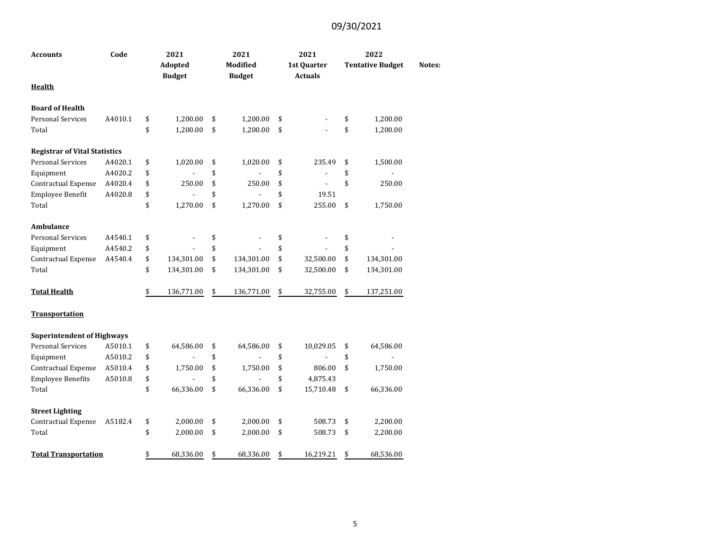| <b>Accounts</b>                      | Code    | 2021<br>Adopted<br><b>Budget</b> | 2021<br><b>Modified</b><br><b>Budget</b> | 2021<br>1st Quarter<br><b>Actuals</b> | 2022<br><b>Tentative Budget</b> | Notes: |
|--------------------------------------|---------|----------------------------------|------------------------------------------|---------------------------------------|---------------------------------|--------|
| <b>Health</b>                        |         |                                  |                                          |                                       |                                 |        |
| <b>Board of Health</b>               |         |                                  |                                          |                                       |                                 |        |
| <b>Personal Services</b>             | A4010.1 | \$<br>1,200.00                   | \$<br>1,200.00                           | \$                                    | \$<br>1,200.00                  |        |
| Total                                |         | \$<br>1,200.00                   | \$<br>1,200.00                           | \$                                    | \$<br>1,200.00                  |        |
| <b>Registrar of Vital Statistics</b> |         |                                  |                                          |                                       |                                 |        |
| <b>Personal Services</b>             | A4020.1 | \$<br>1,020.00                   | \$<br>1,020.00                           | \$<br>235.49                          | \$<br>1,500.00                  |        |
| Equipment                            | A4020.2 | \$                               | \$                                       | \$                                    | \$                              |        |
| Contractual Expense                  | A4020.4 | \$<br>250.00                     | \$<br>250.00                             | \$                                    | \$<br>250.00                    |        |
| Employee Benefit                     | A4020.8 | \$                               | \$                                       | \$<br>19.51                           |                                 |        |
| Total                                |         | \$<br>1,270.00                   | \$<br>1,270.00                           | \$<br>255.00                          | \$<br>1,750.00                  |        |
| Ambulance                            |         |                                  |                                          |                                       |                                 |        |
| <b>Personal Services</b>             | A4540.1 | \$                               | \$                                       | \$                                    | \$                              |        |
| Equipment                            | A4540.2 | \$                               | \$                                       | \$                                    | \$                              |        |
| Contractual Expense                  | A4540.4 | \$<br>134,301.00                 | \$<br>134,301.00                         | \$<br>32,500.00                       | \$<br>134,301.00                |        |
| Total                                |         | \$<br>134,301.00                 | \$<br>134,301.00                         | \$<br>32,500.00                       | \$<br>134,301.00                |        |
| <b>Total Health</b>                  |         | \$<br>136,771.00                 | \$<br>136,771.00                         | \$<br>32,755.00                       | \$<br>137,251.00                |        |
| <b>Transportation</b>                |         |                                  |                                          |                                       |                                 |        |
| <b>Superintendent of Highways</b>    |         |                                  |                                          |                                       |                                 |        |
| <b>Personal Services</b>             | A5010.1 | \$<br>64,586.00                  | \$<br>64,586.00                          | \$<br>10,029.05                       | \$<br>64,586.00                 |        |
| Equipment                            | A5010.2 | \$                               | \$                                       | \$                                    | \$                              |        |
| Contractual Expense                  | A5010.4 | \$<br>1,750.00                   | \$<br>1,750.00                           | \$<br>806.00                          | \$<br>1,750.00                  |        |
| <b>Employee Benefits</b>             | A5010.8 | \$                               | \$                                       | \$<br>4,875.43                        |                                 |        |
| Total                                |         | \$<br>66,336.00                  | \$<br>66,336.00                          | \$<br>15,710.48                       | \$<br>66,336.00                 |        |
| <b>Street Lighting</b>               |         |                                  |                                          |                                       |                                 |        |
| Contractual Expense                  | A5182.4 | \$<br>2,000.00                   | \$<br>2,000.00                           | \$<br>508.73                          | \$<br>2,200.00                  |        |
| Total                                |         | \$<br>2,000.00                   | \$<br>2,000.00                           | \$<br>508.73                          | \$<br>2,200.00                  |        |
| <b>Total Transportation</b>          |         | \$<br>68,336.00                  | \$<br>68,336.00                          | \$<br>16,219.21                       | \$<br>68,536.00                 |        |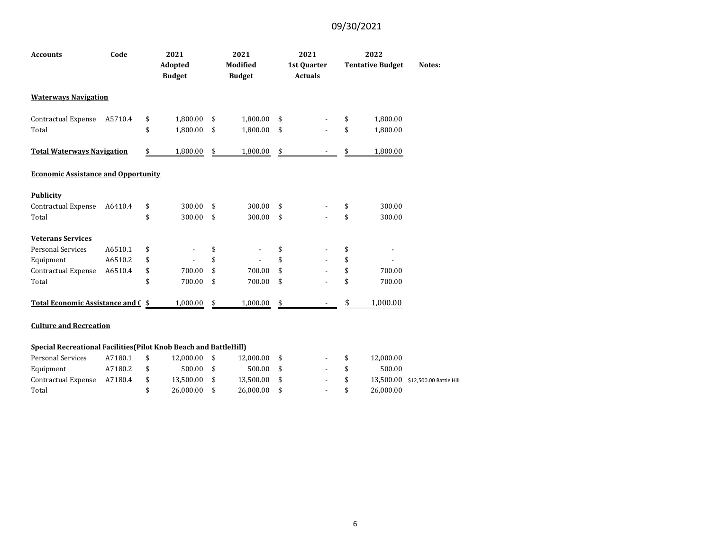| <b>Accounts</b>                            | Code    | 2021<br>Adopted<br><b>Budget</b> | 2021<br><b>Modified</b><br><b>Budget</b> | 2021<br>1st Quarter<br><b>Actuals</b> | 2022<br><b>Tentative Budget</b> | Notes: |
|--------------------------------------------|---------|----------------------------------|------------------------------------------|---------------------------------------|---------------------------------|--------|
| <b>Waterways Navigation</b>                |         |                                  |                                          |                                       |                                 |        |
| Contractual Expense                        | A5710.4 | \$<br>1,800.00                   | \$<br>1,800.00                           | \$                                    | \$<br>1,800.00                  |        |
| Total                                      |         | \$<br>1,800.00                   | \$<br>1,800.00                           | \$                                    | \$<br>1,800.00                  |        |
| <b>Total Waterways Navigation</b>          |         | \$<br>1,800.00                   | \$<br>1,800.00                           | \$                                    | \$<br>1,800.00                  |        |
| <b>Economic Assistance and Opportunity</b> |         |                                  |                                          |                                       |                                 |        |
| <b>Publicity</b>                           |         |                                  |                                          |                                       |                                 |        |
| Contractual Expense                        | A6410.4 | \$<br>300.00                     | \$<br>300.00                             | \$                                    | \$<br>300.00                    |        |
| Total                                      |         | \$<br>300.00                     | \$<br>300.00                             | \$                                    | \$<br>300.00                    |        |
| <b>Veterans Services</b>                   |         |                                  |                                          |                                       |                                 |        |
| <b>Personal Services</b>                   | A6510.1 | \$                               | \$                                       | \$                                    | \$                              |        |
| Equipment                                  | A6510.2 | \$<br>÷,                         | \$                                       | \$<br>٠                               | \$                              |        |
| Contractual Expense                        | A6510.4 | \$<br>700.00                     | \$<br>700.00                             | \$<br>٠                               | \$<br>700.00                    |        |
| Total                                      |         | \$<br>700.00                     | \$<br>700.00                             | \$                                    | \$<br>700.00                    |        |
| Total Economic Assistance and C \$         |         | 1,000.00                         | \$<br>1,000.00                           | \$                                    | 1,000.00                        |        |

#### **Culture and Recreation**

#### **Special Recreational Facilities(Pilot Knob Beach and BattleHill)**

| <b>Personal Services</b> | A7180.1 |      | 12.000.00 \$ | 12.000.00 |            | $-$ S  | 12.000.00 |                                   |
|--------------------------|---------|------|--------------|-----------|------------|--------|-----------|-----------------------------------|
| Equipment                | A7180.2 | - \$ | 500.00 \$    | 500.00    | $\sim$ 8   |        | 500.00    |                                   |
| Contractual Expense      | A7180.4 |      | 13.500.00 \$ | 13.500.00 |            | $-$ \$ |           | 13,500.00 \$12,500.00 Battle Hill |
| Total                    |         |      | 26.000.00 \$ | 26.000.00 | $\sim 100$ |        | 26.000.00 |                                   |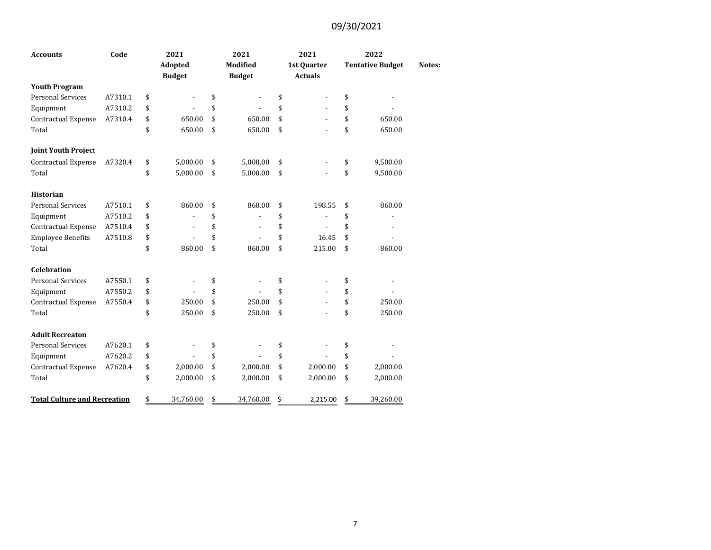| <b>Accounts</b>                     | Code    | 2021                           | 2021                           |    | 2021                     | 2022                    |        |
|-------------------------------------|---------|--------------------------------|--------------------------------|----|--------------------------|-------------------------|--------|
|                                     |         | Adopted                        | <b>Modified</b>                |    | 1st Quarter              | <b>Tentative Budget</b> | Notes: |
|                                     |         | <b>Budget</b>                  | <b>Budget</b>                  |    | <b>Actuals</b>           |                         |        |
| <b>Youth Program</b>                |         |                                |                                |    |                          |                         |        |
| <b>Personal Services</b>            | A7310.1 | \$<br>$\overline{\phantom{a}}$ | \$<br>$\overline{\phantom{a}}$ | \$ |                          | \$                      |        |
| Equipment                           | A7310.2 | \$                             | \$                             | \$ | $\overline{\phantom{a}}$ | \$                      |        |
| Contractual Expense                 | A7310.4 | \$<br>650.00                   | \$<br>650.00                   | \$ | ٠                        | \$<br>650.00            |        |
| Total                               |         | \$<br>650.00                   | \$<br>650.00                   | \$ | ÷,                       | \$<br>650.00            |        |
| <b>Joint Youth Project</b>          |         |                                |                                |    |                          |                         |        |
| Contractual Expense                 | A7320.4 | \$<br>5,000.00                 | \$<br>5,000.00                 | \$ |                          | \$<br>9,500.00          |        |
| Total                               |         | \$<br>5,000.00                 | \$<br>5,000.00                 | \$ |                          | \$<br>9,500.00          |        |
| <b>Historian</b>                    |         |                                |                                |    |                          |                         |        |
| <b>Personal Services</b>            | A7510.1 | \$<br>860.00                   | \$<br>860.00                   | \$ | 198.55                   | \$<br>860.00            |        |
| Equipment                           | A7510.2 | \$                             | \$                             | \$ |                          | \$                      |        |
| Contractual Expense                 | A7510.4 | \$                             | \$                             | \$ |                          | \$                      |        |
| <b>Employee Benefits</b>            | A7510.8 | \$                             | \$<br>$\overline{\phantom{a}}$ | \$ | 16.45                    | \$                      |        |
| Total                               |         | \$<br>860.00                   | \$<br>860.00                   | \$ | 215.00                   | \$<br>860.00            |        |
| <b>Celebration</b>                  |         |                                |                                |    |                          |                         |        |
| <b>Personal Services</b>            | A7550.1 | \$                             | \$                             | \$ |                          | \$                      |        |
| Equipment                           | A7550.2 | \$                             | \$                             | \$ |                          | \$                      |        |
| Contractual Expense                 | A7550.4 | \$<br>250.00                   | \$<br>250.00                   | \$ |                          | \$<br>250.00            |        |
| Total                               |         | \$<br>250.00                   | \$<br>250.00                   | \$ |                          | \$<br>250.00            |        |
| <b>Adult Recreaton</b>              |         |                                |                                |    |                          |                         |        |
| <b>Personal Services</b>            | A7620.1 | \$                             | \$                             | \$ |                          | \$                      |        |
| Equipment                           | A7620.2 | \$                             | \$                             | \$ |                          | \$                      |        |
| Contractual Expense                 | A7620.4 | \$<br>2,000.00                 | \$<br>2,000.00                 | \$ | 2,000.00                 | \$<br>2,000.00          |        |
| Total                               |         | \$<br>2,000.00                 | \$<br>2,000.00                 | \$ | 2,000.00                 | \$<br>2,000.00          |        |
| <b>Total Culture and Recreation</b> |         | \$<br>34,760.00                | \$<br>34,760.00                | Ś  | 2,215.00                 | \$<br>39,260.00         |        |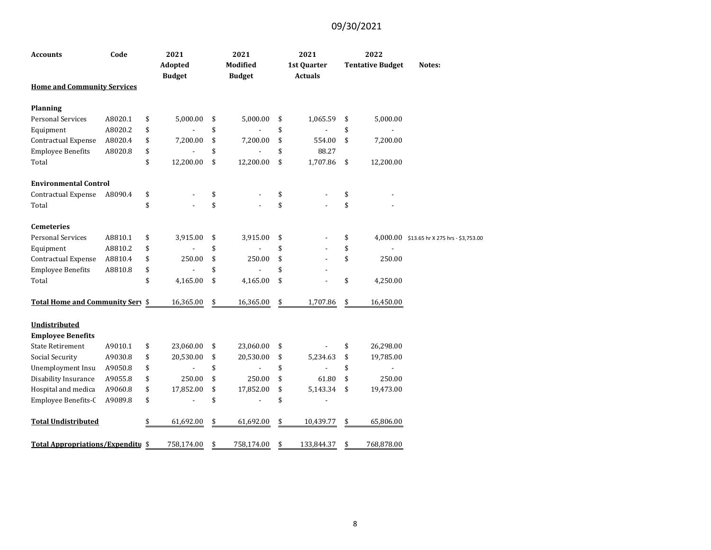| <b>Accounts</b>                           | Code    | 2021<br>Adopted<br><b>Budget</b> | 2021<br><b>Modified</b><br><b>Budget</b> | 2021<br>1st Quarter<br><b>Actuals</b> | 2022<br><b>Tentative Budget</b> | Notes:                                     |
|-------------------------------------------|---------|----------------------------------|------------------------------------------|---------------------------------------|---------------------------------|--------------------------------------------|
| <b>Home and Community Services</b>        |         |                                  |                                          |                                       |                                 |                                            |
| <b>Planning</b>                           |         |                                  |                                          |                                       |                                 |                                            |
| <b>Personal Services</b>                  | A8020.1 | \$<br>5,000.00                   | \$<br>5,000.00                           | \$<br>1,065.59                        | \$<br>5,000.00                  |                                            |
| Equipment                                 | A8020.2 | \$                               | \$                                       | \$<br>$\overline{a}$                  | \$                              |                                            |
| Contractual Expense                       | A8020.4 | \$<br>7,200.00                   | \$<br>7,200.00                           | \$<br>554.00                          | \$<br>7,200.00                  |                                            |
| <b>Employee Benefits</b>                  | A8020.8 | \$                               | \$<br>$\overline{\phantom{a}}$           | \$<br>88.27                           |                                 |                                            |
| Total                                     |         | \$<br>12,200.00                  | \$<br>12,200.00                          | \$<br>1,707.86                        | \$<br>12,200.00                 |                                            |
| <b>Environmental Control</b>              |         |                                  |                                          |                                       |                                 |                                            |
| Contractual Expense                       | A8090.4 | \$                               | \$                                       | \$                                    | \$                              |                                            |
| Total                                     |         | \$                               | \$                                       | \$                                    | \$                              |                                            |
| <b>Cemeteries</b>                         |         |                                  |                                          |                                       |                                 |                                            |
| <b>Personal Services</b>                  | A8810.1 | \$<br>3,915.00                   | \$<br>3,915.00                           | \$                                    | \$                              | 4,000.00 \$13.65 hr X 275 hrs - \$3,753.00 |
| Equipment                                 | A8810.2 | \$                               | \$                                       | \$                                    | \$                              |                                            |
| Contractual Expense                       | A8810.4 | \$<br>250.00                     | \$<br>250.00                             | \$                                    | \$<br>250.00                    |                                            |
| <b>Employee Benefits</b>                  | A8810.8 | \$                               | \$                                       | \$                                    |                                 |                                            |
| Total                                     |         | \$<br>4,165.00                   | \$<br>4,165.00                           | \$                                    | \$<br>4,250.00                  |                                            |
| Total Home and Community Sery \$          |         | 16,365.00                        | \$<br>16,365.00                          | \$<br>1,707.86                        | \$<br>16,450.00                 |                                            |
| Undistributed<br><b>Employee Benefits</b> |         |                                  |                                          |                                       |                                 |                                            |
| <b>State Retirement</b>                   | A9010.1 | \$<br>23,060.00                  | \$<br>23,060.00                          | \$                                    | \$<br>26,298.00                 |                                            |
| Social Security                           | A9030.8 | \$<br>20,530.00                  | \$<br>20,530.00                          | \$<br>5,234.63                        | \$<br>19,785.00                 |                                            |
| Unemployment Insu                         | A9050.8 | \$                               | \$                                       | \$<br>$\overline{a}$                  | \$                              |                                            |
| Disability Insurance                      | A9055.8 | \$<br>250.00                     | \$<br>250.00                             | \$<br>61.80                           | \$<br>250.00                    |                                            |
| Hospital and medica                       | A9060.8 | \$<br>17,852.00                  | \$<br>17,852.00                          | \$<br>5,143.34                        | \$<br>19,473.00                 |                                            |
| Employee Benefits-C                       | A9089.8 | \$                               | \$<br>$\overline{\phantom{a}}$           | \$<br>$\overline{\phantom{a}}$        |                                 |                                            |
| <b>Total Undistributed</b>                |         | \$<br>61,692.00                  | \$<br>61,692.00                          | \$<br>10,439.77                       | \$<br>65,806.00                 |                                            |
| Total Appropriations/Expenditu \$         |         | 758,174.00                       | \$<br>758,174.00                         | \$<br>133,844.37                      | \$<br>768,878.00                |                                            |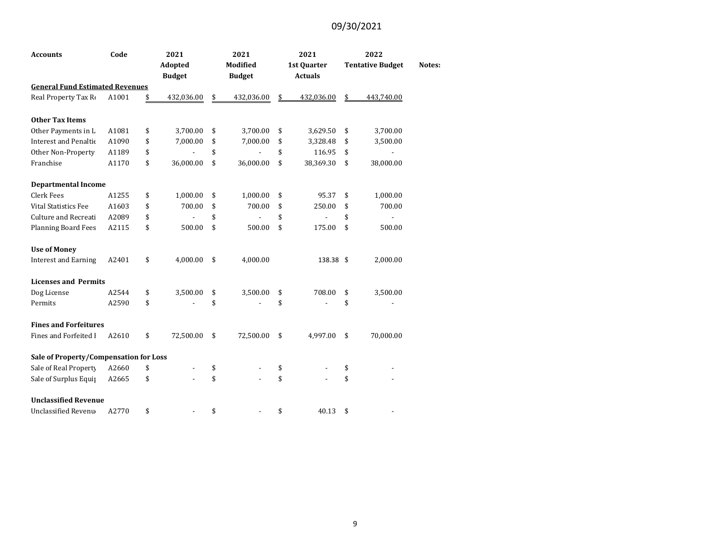| <b>Accounts</b>                        | Code  | 2021                           | 2021                | 2021             | 2022                           |        |
|----------------------------------------|-------|--------------------------------|---------------------|------------------|--------------------------------|--------|
|                                        |       | Adopted                        | <b>Modified</b>     | 1st Quarter      | <b>Tentative Budget</b>        | Notes: |
|                                        |       | <b>Budget</b>                  | <b>Budget</b>       | <b>Actuals</b>   |                                |        |
| <b>General Fund Estimated Revenues</b> |       |                                |                     |                  |                                |        |
| Real Property Tax Ro                   | A1001 | \$<br>432,036.00               | \$<br>432,036.00    | \$<br>432,036.00 | \$<br>443,740.00               |        |
| <b>Other Tax Items</b>                 |       |                                |                     |                  |                                |        |
| Other Payments in L                    | A1081 | \$<br>3,700.00                 | \$<br>3,700.00      | \$<br>3,629.50   | \$<br>3,700.00                 |        |
| Interest and Penaltic                  | A1090 | \$<br>7,000.00                 | \$<br>7,000.00      | \$<br>3,328.48   | \$<br>3,500.00                 |        |
| Other Non-Property                     | A1189 | \$<br>$\overline{\phantom{a}}$ | \$<br>$\frac{1}{2}$ | \$<br>116.95     | \$<br>$\overline{\phantom{a}}$ |        |
| Franchise                              | A1170 | \$<br>36,000.00                | \$<br>36,000.00     | \$<br>38,369.30  | \$<br>38,000.00                |        |
| <b>Departmental Income</b>             |       |                                |                     |                  |                                |        |
| <b>Clerk Fees</b>                      | A1255 | \$<br>1,000.00                 | \$<br>1,000.00      | \$<br>95.37      | \$<br>1,000.00                 |        |
| <b>Vital Statistics Fee</b>            | A1603 | \$<br>700.00                   | \$<br>700.00        | \$<br>250.00     | \$<br>700.00                   |        |
| Culture and Recreati                   | A2089 | \$<br>$\overline{\phantom{0}}$ | \$                  | \$               | \$                             |        |
| <b>Planning Board Fees</b>             | A2115 | \$<br>500.00                   | \$<br>500.00        | \$<br>175.00     | \$<br>500.00                   |        |
| <b>Use of Money</b>                    |       |                                |                     |                  |                                |        |
| <b>Interest and Earning</b>            | A2401 | \$<br>4,000.00                 | \$<br>4,000.00      | 138.38 \$        | 2,000.00                       |        |
| <b>Licenses and Permits</b>            |       |                                |                     |                  |                                |        |
| Dog License                            | A2544 | \$<br>3,500.00                 | \$<br>3,500.00      | \$<br>708.00     | \$<br>3,500.00                 |        |
| Permits                                | A2590 | \$                             | \$                  | \$               | \$                             |        |
| <b>Fines and Forfeitures</b>           |       |                                |                     |                  |                                |        |
| Fines and Forfeited I                  | A2610 | \$<br>72,500.00                | \$<br>72,500.00     | \$<br>4,997.00   | \$<br>70,000.00                |        |
| Sale of Property/Compensation for Loss |       |                                |                     |                  |                                |        |
| Sale of Real Property                  | A2660 | \$                             | \$                  | \$               | \$                             |        |
| Sale of Surplus Equip                  | A2665 | \$                             | \$                  | \$               | \$                             |        |
| <b>Unclassified Revenue</b>            |       |                                |                     |                  |                                |        |
| Unclassified Revenu                    | A2770 | \$                             | \$                  | \$<br>40.13      | \$                             |        |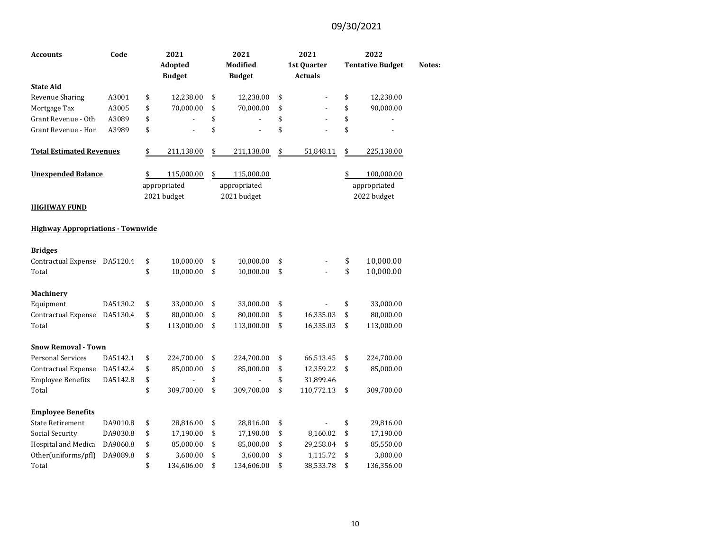| Accounts                                 | Code     | 2021             | 2021             | 2021                 | 2022                    |        |
|------------------------------------------|----------|------------------|------------------|----------------------|-------------------------|--------|
|                                          |          | Adopted          | Modified         | 1st Quarter          | <b>Tentative Budget</b> | Notes: |
|                                          |          | <b>Budget</b>    | <b>Budget</b>    | <b>Actuals</b>       |                         |        |
| <b>State Aid</b>                         |          |                  |                  |                      |                         |        |
| <b>Revenue Sharing</b>                   | A3001    | \$<br>12,238.00  | \$<br>12,238.00  | \$                   | \$<br>12,238.00         |        |
| Mortgage Tax                             | A3005    | \$<br>70,000.00  | \$<br>70,000.00  | \$<br>$\overline{a}$ | \$<br>90,000.00         |        |
| Grant Revenue - Oth                      | A3089    | \$               | \$               | \$<br>$\overline{a}$ | \$                      |        |
| Grant Revenue - Hor                      | A3989    | \$               | \$               | \$<br>$\overline{a}$ | \$                      |        |
| <b>Total Estimated Revenues</b>          |          | \$<br>211,138.00 | \$<br>211,138.00 | \$<br>51,848.11      | \$<br>225,138.00        |        |
| <b>Unexpended Balance</b>                |          | \$<br>115,000.00 | \$<br>115,000.00 |                      | \$<br>100,000.00        |        |
|                                          |          | appropriated     | appropriated     |                      | appropriated            |        |
|                                          |          | 2021 budget      | 2021 budget      |                      | 2022 budget             |        |
| <b>HIGHWAY FUND</b>                      |          |                  |                  |                      |                         |        |
| <b>Highway Appropriations - Townwide</b> |          |                  |                  |                      |                         |        |
| <b>Bridges</b>                           |          |                  |                  |                      |                         |        |
| Contractual Expense DA5120.4             |          | \$<br>10,000.00  | \$<br>10,000.00  | \$                   | \$<br>10,000.00         |        |
| Total                                    |          | \$<br>10,000.00  | \$<br>10,000.00  | \$                   | \$<br>10,000.00         |        |
| Machinery                                |          |                  |                  |                      |                         |        |
| Equipment                                | DA5130.2 | \$<br>33,000.00  | \$<br>33,000.00  | \$                   | \$<br>33,000.00         |        |
| <b>Contractual Expense</b>               | DA5130.4 | \$<br>80,000.00  | \$<br>80,000.00  | \$<br>16,335.03      | \$<br>80,000.00         |        |
| Total                                    |          | \$<br>113,000.00 | \$<br>113,000.00 | \$<br>16,335.03      | \$<br>113,000.00        |        |
| <b>Snow Removal - Town</b>               |          |                  |                  |                      |                         |        |
| <b>Personal Services</b>                 | DA5142.1 | \$<br>224,700.00 | \$<br>224,700.00 | \$<br>66,513.45      | \$<br>224,700.00        |        |
| Contractual Expense                      | DA5142.4 | \$<br>85,000.00  | \$<br>85,000.00  | \$<br>12,359.22      | \$<br>85,000.00         |        |
| <b>Employee Benefits</b>                 | DA5142.8 | \$               | \$               | \$<br>31,899.46      |                         |        |
| Total                                    |          | \$<br>309,700.00 | \$<br>309,700.00 | \$<br>110,772.13     | \$<br>309,700.00        |        |
| <b>Employee Benefits</b>                 |          |                  |                  |                      |                         |        |
| <b>State Retirement</b>                  | DA9010.8 | \$<br>28,816.00  | \$<br>28,816.00  | \$                   | \$<br>29,816.00         |        |
| <b>Social Security</b>                   | DA9030.8 | \$<br>17,190.00  | \$<br>17,190.00  | \$<br>8,160.02       | \$<br>17,190.00         |        |
| Hospital and Medica                      | DA9060.8 | \$<br>85,000.00  | \$<br>85,000.00  | \$<br>29,258.04      | \$<br>85,550.00         |        |
| Other(uniforms/pfl)                      | DA9089.8 | \$<br>3,600.00   | \$<br>3,600.00   | \$<br>1,115.72       | \$<br>3,800.00          |        |
| Total                                    |          | \$<br>134,606.00 | \$<br>134,606.00 | \$<br>38,533.78      | \$<br>136,356.00        |        |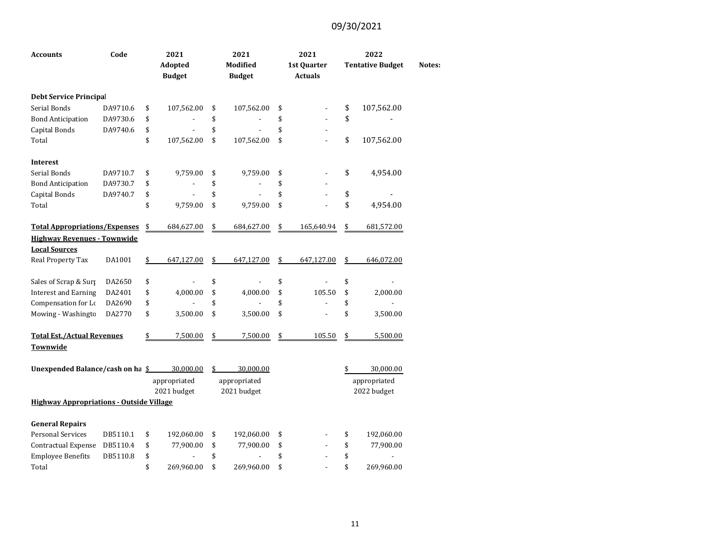| <b>Accounts</b>                                 | Code     | 2021<br>Adopted<br><b>Budget</b> | 2021<br>Modified<br><b>Budget</b> | 2021<br>1st Quarter<br><b>Actuals</b> | 2022<br><b>Tentative Budget</b> | Notes: |
|-------------------------------------------------|----------|----------------------------------|-----------------------------------|---------------------------------------|---------------------------------|--------|
| <b>Debt Service Principal</b>                   |          |                                  |                                   |                                       |                                 |        |
| Serial Bonds                                    | DA9710.6 | \$<br>107,562.00                 | \$<br>107,562.00                  | \$                                    | \$<br>107,562.00                |        |
| <b>Bond Anticipation</b>                        | DA9730.6 | \$                               | \$                                | \$                                    | \$                              |        |
| Capital Bonds                                   | DA9740.6 | \$                               | \$                                | \$                                    |                                 |        |
| Total                                           |          | \$<br>107,562.00                 | \$<br>107,562.00                  | \$                                    | \$<br>107,562.00                |        |
| <b>Interest</b>                                 |          |                                  |                                   |                                       |                                 |        |
| Serial Bonds                                    | DA9710.7 | \$<br>9,759.00                   | \$<br>9,759.00                    | \$                                    | \$<br>4,954.00                  |        |
| <b>Bond Anticipation</b>                        | DA9730.7 | \$                               | \$                                | \$                                    |                                 |        |
| Capital Bonds                                   | DA9740.7 | \$<br>$\blacksquare$             | \$<br>$\overline{a}$              | \$<br>÷,                              | \$                              |        |
| Total                                           |          | \$<br>9,759.00                   | \$<br>9,759.00                    | \$<br>$\overline{a}$                  | \$<br>4,954.00                  |        |
| <b>Total Appropriations/Expenses</b>            |          | \$<br>684,627.00                 | \$<br>684,627.00                  | \$<br>165,640.94                      | \$<br>681,572.00                |        |
| <b>Highway Revenues - Townwide</b>              |          |                                  |                                   |                                       |                                 |        |
| <b>Local Sources</b>                            |          |                                  |                                   |                                       |                                 |        |
| Real Property Tax                               | DA1001   | \$<br>647,127.00                 | \$<br>647,127.00                  | \$<br>647,127.00                      | \$<br>646,072.00                |        |
| Sales of Scrap & Surp                           | DA2650   | \$                               | \$                                | \$<br>L.                              | \$                              |        |
| <b>Interest and Earning</b>                     | DA2401   | \$<br>4,000.00                   | \$<br>4,000.00                    | \$<br>105.50                          | \$<br>2,000.00                  |        |
| Compensation for Lo                             | DA2690   | \$                               | \$                                | \$                                    | \$                              |        |
| Mowing - Washingto                              | DA2770   | \$<br>3,500.00                   | \$<br>3,500.00                    | \$                                    | \$<br>3,500.00                  |        |
| <b>Total Est./Actual Revenues</b>               |          | \$<br>7,500.00                   | \$<br>7,500.00                    | \$<br>105.50                          | \$<br>5,500.00                  |        |
| Townwide                                        |          |                                  |                                   |                                       |                                 |        |
| Unexpended Balance/cash on ha \$                |          | 30,000.00                        | \$<br>30,000.00                   |                                       | \$<br>30,000.00                 |        |
|                                                 |          | appropriated                     | appropriated                      |                                       | appropriated                    |        |
|                                                 |          | 2021 budget                      | 2021 budget                       |                                       | 2022 budget                     |        |
| <b>Highway Appropriations - Outside Village</b> |          |                                  |                                   |                                       |                                 |        |
| <b>General Repairs</b>                          |          |                                  |                                   |                                       |                                 |        |
| <b>Personal Services</b>                        | DB5110.1 | \$<br>192,060.00                 | \$<br>192,060.00                  | \$                                    | \$<br>192,060.00                |        |
| Contractual Expense                             | DB5110.4 | \$<br>77,900.00                  | \$<br>77,900.00                   | \$                                    | \$<br>77,900.00                 |        |
| <b>Employee Benefits</b>                        | DB5110.8 | \$                               | \$                                | \$                                    | \$                              |        |
| Total                                           |          | \$<br>269,960.00                 | \$<br>269,960.00                  | \$                                    | \$<br>269,960.00                |        |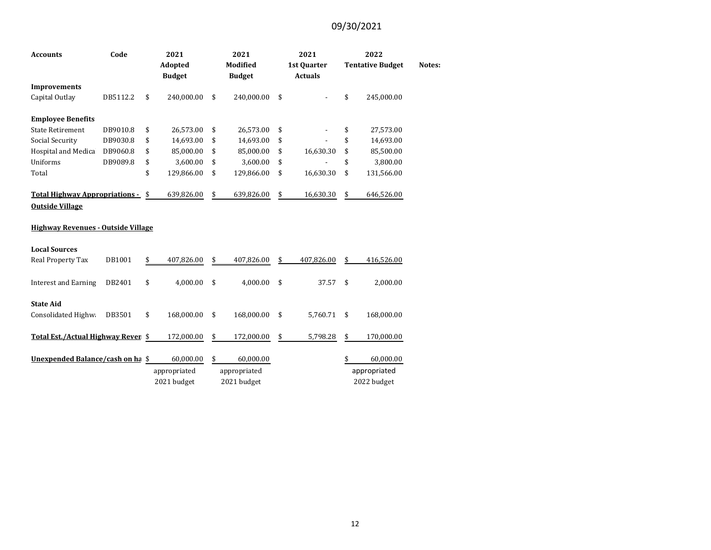| <b>Accounts</b>                           | Code     | 2021<br>Adopted  | 2021<br><b>Modified</b> |               |    | 2021<br>1st Quarter |    | 2022<br><b>Tentative Budget</b> | Notes: |
|-------------------------------------------|----------|------------------|-------------------------|---------------|----|---------------------|----|---------------------------------|--------|
|                                           |          | <b>Budget</b>    |                         | <b>Budget</b> |    | <b>Actuals</b>      |    |                                 |        |
| <b>Improvements</b>                       |          |                  |                         |               |    |                     |    |                                 |        |
| Capital Outlay                            | DB5112.2 | \$<br>240,000.00 | \$                      | 240,000.00    | \$ |                     | \$ | 245,000.00                      |        |
| <b>Employee Benefits</b>                  |          |                  |                         |               |    |                     |    |                                 |        |
| <b>State Retirement</b>                   | DB9010.8 | \$<br>26,573.00  | \$                      | 26,573.00     | \$ |                     | \$ | 27,573.00                       |        |
| <b>Social Security</b>                    | DB9030.8 | \$<br>14,693.00  | \$                      | 14,693.00     | \$ |                     | \$ | 14,693.00                       |        |
| Hospital and Medica                       | DB9060.8 | \$<br>85,000.00  | \$                      | 85,000.00     | \$ | 16,630.30           | \$ | 85,500.00                       |        |
| Uniforms                                  | DB9089.8 | \$<br>3,600.00   | \$                      | 3,600.00      | \$ |                     | \$ | 3,800.00                        |        |
| Total                                     |          | \$<br>129,866.00 | \$                      | 129,866.00    | \$ | 16,630.30           | \$ | 131,566.00                      |        |
| Total Highway Appropriations - \$         |          | 639,826.00       | \$                      | 639,826.00    | \$ | 16,630.30           | \$ | 646,526.00                      |        |
| <b>Outside Village</b>                    |          |                  |                         |               |    |                     |    |                                 |        |
| <b>Highway Revenues - Outside Village</b> |          |                  |                         |               |    |                     |    |                                 |        |
| <b>Local Sources</b>                      |          |                  |                         |               |    |                     |    |                                 |        |
| Real Property Tax                         | DB1001   | \$<br>407,826.00 | \$                      | 407,826.00    | \$ | 407,826.00          | \$ | 416,526.00                      |        |
| <b>Interest and Earning</b>               | DB2401   | \$<br>4,000.00   | \$                      | 4,000.00      | \$ | 37.57               | \$ | 2,000.00                        |        |
| <b>State Aid</b>                          |          |                  |                         |               |    |                     |    |                                 |        |
| Consolidated Highwa                       | DB3501   | \$<br>168,000.00 | \$                      | 168,000.00    | \$ | 5,760.71            | \$ | 168,000.00                      |        |
| Total Est./Actual Highway Rever \$        |          | 172,000.00       | \$                      | 172,000.00    | \$ | 5,798.28            | \$ | 170,000.00                      |        |
| Unexpended Balance/cash on ha \$          |          | 60,000.00        | \$                      | 60,000.00     |    |                     | \$ | 60,000.00                       |        |
|                                           |          | appropriated     |                         | appropriated  |    |                     |    | appropriated                    |        |
|                                           |          | 2021 budget      |                         | 2021 budget   |    |                     |    | 2022 budget                     |        |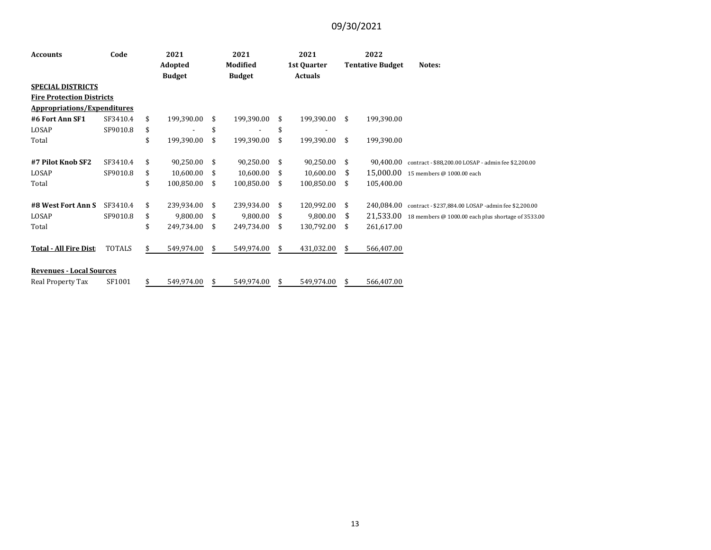| <b>Accounts</b>                    | Code<br>2021<br><b>Adopted</b> |               | 2021                     |      | 2021          |             | 2022           |                         |            |                                                     |
|------------------------------------|--------------------------------|---------------|--------------------------|------|---------------|-------------|----------------|-------------------------|------------|-----------------------------------------------------|
|                                    |                                |               | Modified                 |      |               | 1st Quarter |                | <b>Tentative Budget</b> | Notes:     |                                                     |
|                                    |                                | <b>Budget</b> |                          |      | <b>Budget</b> |             | <b>Actuals</b> |                         |            |                                                     |
| <b>SPECIAL DISTRICTS</b>           |                                |               |                          |      |               |             |                |                         |            |                                                     |
| <b>Fire Protection Districts</b>   |                                |               |                          |      |               |             |                |                         |            |                                                     |
| <b>Appropriations/Expenditures</b> |                                |               |                          |      |               |             |                |                         |            |                                                     |
| #6 Fort Ann SF1                    | SF3410.4                       | \$            | 199,390.00               | -\$  | 199,390.00    | \$          | 199,390.00     | \$                      | 199,390.00 |                                                     |
| LOSAP                              | SF9010.8                       | \$            | $\overline{\phantom{0}}$ |      |               | \$          |                |                         |            |                                                     |
| Total                              |                                | \$            | 199,390.00               | \$   | 199,390.00    | \$          | 199,390.00     | \$                      | 199,390.00 |                                                     |
|                                    |                                |               |                          |      |               |             |                |                         |            |                                                     |
| #7 Pilot Knob SF2                  | SF3410.4                       | \$            | 90,250.00                | -\$  | 90,250.00     | \$          | 90,250.00      | \$                      | 90.400.00  | contract - \$88,200.00 LOSAP - admin fee \$2,200.00 |
| LOSAP                              | SF9010.8                       | \$            | 10,600.00                | - \$ | 10,600.00     | \$          | 10,600.00      | \$                      | 15,000.00  | 15 members @ 1000.00 each                           |
| Total                              |                                | \$            | 100,850.00               | \$   | 100,850.00    | \$          | 100,850.00     | \$                      | 105,400.00 |                                                     |
|                                    |                                |               |                          |      |               |             |                |                         |            |                                                     |
| #8 West Fort Ann S                 | SF3410.4                       | \$            | 239,934.00               | \$.  | 239,934.00    | \$          | 120,992.00     | \$                      | 240.084.00 | contract - \$237,884.00 LOSAP -admin fee \$2,200.00 |
| LOSAP                              | SF9010.8                       | \$            | 9,800.00                 | \$   | 9,800.00      | \$          | 9,800.00       | \$                      | 21,533.00  | 18 members @ 1000.00 each plus shortage of 3533.00  |
| Total                              |                                | \$            | 249,734.00 \$            |      | 249,734.00    | \$          | 130,792.00     | \$                      | 261,617.00 |                                                     |
|                                    |                                |               |                          |      |               |             |                |                         |            |                                                     |
| <b>Total - All Fire Dist</b>       | <b>TOTALS</b>                  |               | 549,974.00               | S.   | 549,974.00    | \$          | 431,032.00     | \$                      | 566,407.00 |                                                     |
|                                    |                                |               |                          |      |               |             |                |                         |            |                                                     |
| <b>Revenues - Local Sources</b>    |                                |               |                          |      |               |             |                |                         |            |                                                     |
| Real Property Tax                  | SF1001                         | \$            | 549,974.00               | S    | 549,974.00    | \$          | 549,974.00     | \$                      | 566,407.00 |                                                     |